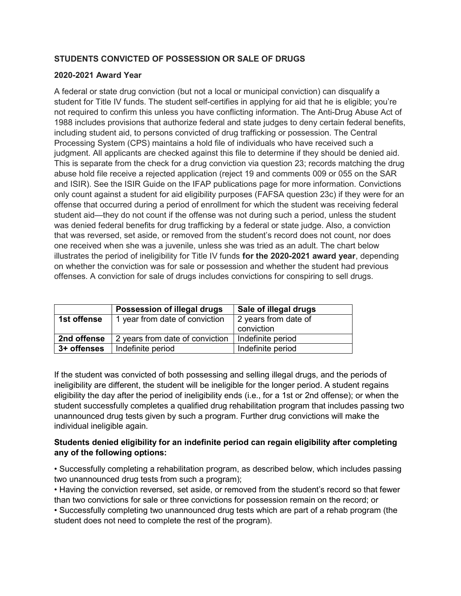## STUDENTS CONVICTED OF POSSESSION OR SALE OF DRUGS

## 2020-2021 Award Year

A federal or state drug conviction (but not a local or municipal conviction) can disqualify a student for Title IV funds. The student self-certifies in applying for aid that he is eligible; you're not required to confirm this unless you have conflicting information. The Anti-Drug Abuse Act of 1988 includes provisions that authorize federal and state judges to deny certain federal benefits, including student aid, to persons convicted of drug trafficking or possession. The Central Processing System (CPS) maintains a hold file of individuals who have received such a judgment. All applicants are checked against this file to determine if they should be denied aid. This is separate from the check for a drug conviction via question 23; records matching the drug abuse hold file receive a rejected application (reject 19 and comments 009 or 055 on the SAR and ISIR). See the ISIR Guide on the IFAP publications page for more information. Convictions only count against a student for aid eligibility purposes (FAFSA question 23c) if they were for an offense that occurred during a period of enrollment for which the student was receiving federal student aid—they do not count if the offense was not during such a period, unless the student was denied federal benefits for drug trafficking by a federal or state judge. Also, a conviction that was reversed, set aside, or removed from the student's record does not count, nor does one received when she was a juvenile, unless she was tried as an adult. The chart below illustrates the period of ineligibility for Title IV funds for the 2020-2021 award year, depending on whether the conviction was for sale or possession and whether the student had previous offenses. A conviction for sale of drugs includes convictions for conspiring to sell drugs.

|             | Possession of illegal drugs     | Sale of illegal drugs              |
|-------------|---------------------------------|------------------------------------|
| 1st offense | 1 year from date of conviction  | 2 years from date of<br>conviction |
| 2nd offense | 2 years from date of conviction | Indefinite period                  |
| 3+ offenses | Indefinite period               | Indefinite period                  |

If the student was convicted of both possessing and selling illegal drugs, and the periods of ineligibility are different, the student will be ineligible for the longer period. A student regains eligibility the day after the period of ineligibility ends (i.e., for a 1st or 2nd offense); or when the student successfully completes a qualified drug rehabilitation program that includes passing two unannounced drug tests given by such a program. Further drug convictions will make the individual ineligible again.

## Students denied eligibility for an indefinite period can regain eligibility after completing any of the following options:

• Successfully completing a rehabilitation program, as described below, which includes passing two unannounced drug tests from such a program);

• Having the conviction reversed, set aside, or removed from the student's record so that fewer than two convictions for sale or three convictions for possession remain on the record; or

• Successfully completing two unannounced drug tests which are part of a rehab program (the student does not need to complete the rest of the program).